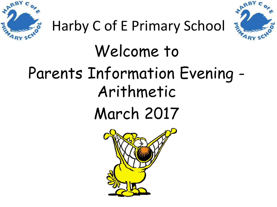



## Harby C of E Primary School

# Welcome to Parents Information Evening - Arithmetic March 2017

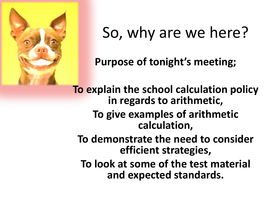

### So, why are we here?

**Purpose of tonight's meeting;**

**To explain the school calculation policy in regards to arithmetic, To give examples of arithmetic calculation, To demonstrate the need to consider efficient strategies, To look at some of the test material and expected standards.**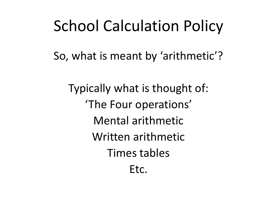#### School Calculation Policy

So, what is meant by 'arithmetic'?

Typically what is thought of: 'The Four operations' Mental arithmetic Written arithmetic Times tables Etc.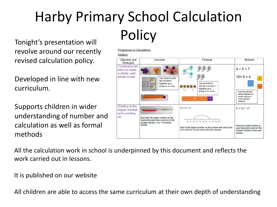# Harby Primary School Calculation Tonight's presentation will **Policy**

revolve around our recently revised calculation policy.

Developed in line with new curriculum.

Supports children in wider understanding of number and calculation as well as formal methods



All the calculation work in school is underpinned by this document and reflects the work carried out in lessons.

It is published on our website

All children are able to access the same curriculum at their own depth of understanding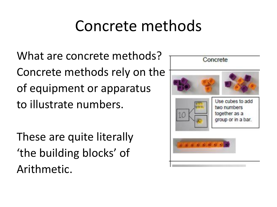#### Concrete methods

What are concrete methods? Concrete methods rely on the of equipment or apparatus to illustrate numbers.

These are quite literally 'the building blocks' of Arithmetic.

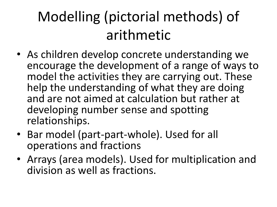#### Modelling (pictorial methods) of arithmetic

- As children develop concrete understanding we encourage the development of a range of ways to model the activities they are carrying out. These help the understanding of what they are doing and are not aimed at calculation but rather at developing number sense and spotting relationships.
- Bar model (part-part-whole). Used for all operations and fractions
- Arrays (area models). Used for multiplication and division as well as fractions.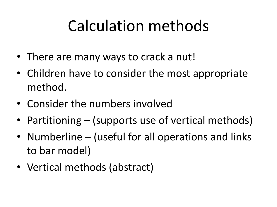### Calculation methods

- There are many ways to crack a nut!
- Children have to consider the most appropriate method.
- Consider the numbers involved
- Partitioning (supports use of vertical methods)
- Numberline (useful for all operations and links to bar model)
- Vertical methods (abstract)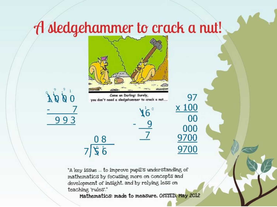#### A sledgehammer to crack a nut!



Come on Darlingt Surely, you don't need a sledgehammer to crack a nut...

 $08$ 

 $756$ 

 $\stackrel{\circ}{\textbf{d}}\stackrel{\circ}{\textbf{d}}\stackrel{\circ}{\textbf{d}}\stackrel{\circ}{\textbf{d}}$ 993

"A key issue ... to improve pupil's understanding of mathematics by focusing more on concepts and development of insight, and by relying less on teaching 'rules"."

Mathematics: made to measure, OfSTED, May 2012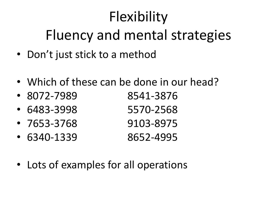## Flexibility Fluency and mental strategies

- Don't just stick to a method
- Which of these can be done in our head?
- 8072-7989 8541-3876 • 6483-3998 5570-2568 • 7653-3768 9103-8975
- 6340-1339 8652-4995
- Lots of examples for all operations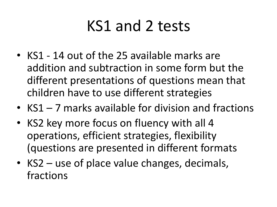### KS1 and 2 tests

- KS1 14 out of the 25 available marks are addition and subtraction in some form but the different presentations of questions mean that children have to use different strategies
- KS1 7 marks available for division and fractions
- KS2 key more focus on fluency with all 4 operations, efficient strategies, flexibility (questions are presented in different formats
- KS2 use of place value changes, decimals, fractions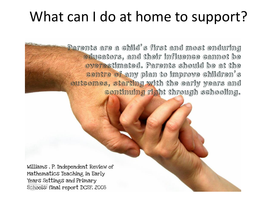#### What can I do at home to support?

Parents are a child's first and most enduring educators, and their influence cannot be overestimated. Parents should be at the centre of any plan to improve children's outcomes, starting with the early years and continuing right through schooling.

Williams, P. Independent Review of Mathematics Teaching in Early Years Settings and Primary Schools: final report DCSF, 2008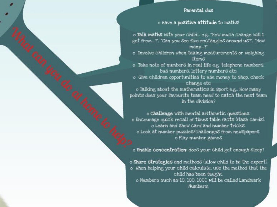#### Parental dos

#### o Have a positive attitude to maths!

o Talk maths with your child... e.g. "How much change will I get from...?", "Can you see five rectangles around us?", "How many...?"

o Involve children when taking measurements or weighing items

o Take note of numbers in real life e.g. telephone numbers, bus numbers. lottery numbers etc.

o Give children opportunities to use money to shop, check change etc

o Talking about the mathematics in sport e.g.. How many points does your favourite team need to catch the next team in the division?

o Challenge with mental arithmetic questions. o Encourage quick recall of times table facts (flash cards). o Learn and Show card and number tricks. o Look at number puzzles/challenges from newspapers. o Play number games

o Enable concentration: does your child get enough sleep?

o Share strategies and methods (allow child to be the expert) o When helping your child calculate, use the method that the child has been taught. o Numbers such as 10, 100, 1000 will be called Landmark Numbers.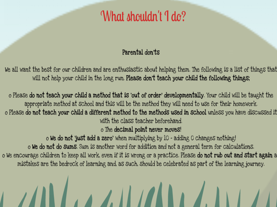#### What shouldn't I do?

#### Parental don'ts

We all want the best for our children and are enthusiastic about helping them. The following is a list of things that will not help your child in the long run. Please don't teach your child the following things;

o Please do not teach your child a method that is 'out of order' developmentally. Your child will be taught the appropriate method at school and this will be the method they will need to use for their homework. o Please do not teach your child a different method to the methods used in school unless you have discussed it with the class teacher beforehand. o The decimal point never moves! o We do not just add a zero' when multiplying by 10 - adding 0 changes nothing!

o We do not do sums. Sum is another word for addition and not a general term for calculations.

o We encourage children to keep all work, even if it is wrong or a practice. Please do not rub out and start again a mistakes are the bedrock of learning and, as such, should be celebrated as part of the learning journey.

AN ANTA